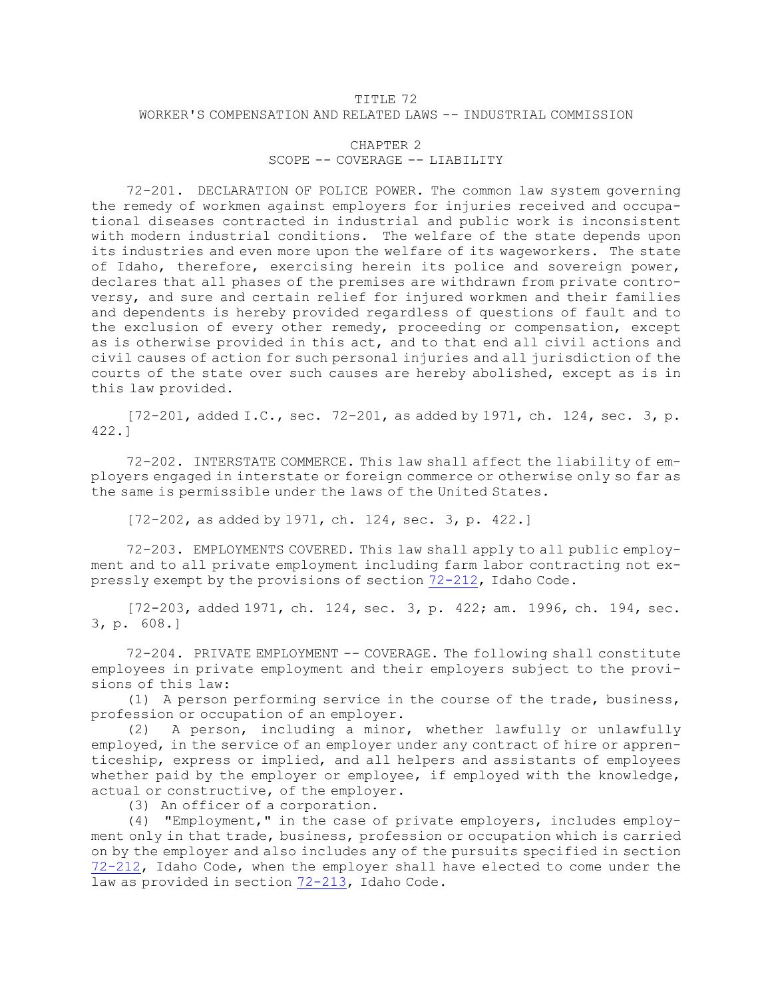## TITLE 72 WORKER'S COMPENSATION AND RELATED LAWS -- INDUSTRIAL COMMISSION

## CHAPTER 2 SCOPE -- COVERAGE -- LIABILITY

72-201. DECLARATION OF POLICE POWER. The common law system governing the remedy of workmen against employers for injuries received and occupational diseases contracted in industrial and public work is inconsistent with modern industrial conditions. The welfare of the state depends upon its industries and even more upon the welfare of its wageworkers. The state of Idaho, therefore, exercising herein its police and sovereign power, declares that all phases of the premises are withdrawn from private controversy, and sure and certain relief for injured workmen and their families and dependents is hereby provided regardless of questions of fault and to the exclusion of every other remedy, proceeding or compensation, except as is otherwise provided in this act, and to that end all civil actions and civil causes of action for such personal injuries and all jurisdiction of the courts of the state over such causes are hereby abolished, except as is in this law provided.

[72-201, added I.C., sec. 72-201, as added by 1971, ch. 124, sec. 3, p. 422.]

72-202. INTERSTATE COMMERCE. This law shall affect the liability of employers engaged in interstate or foreign commerce or otherwise only so far as the same is permissible under the laws of the United States.

[72-202, as added by 1971, ch. 124, sec. 3, p. 422.]

72-203. EMPLOYMENTS COVERED. This law shall apply to all public employment and to all private employment including farm labor contracting not expressly exempt by the provisions of section [72-212](https://legislature.idaho.gov/statutesrules/idstat/Title72/T72CH2/SECT72-212), Idaho Code.

[72-203, added 1971, ch. 124, sec. 3, p. 422; am. 1996, ch. 194, sec. 3, p. 608.]

72-204. PRIVATE EMPLOYMENT -- COVERAGE. The following shall constitute employees in private employment and their employers subject to the provisions of this law:

(1) <sup>A</sup> person performing service in the course of the trade, business, profession or occupation of an employer.

(2) <sup>A</sup> person, including <sup>a</sup> minor, whether lawfully or unlawfully employed, in the service of an employer under any contract of hire or apprenticeship, express or implied, and all helpers and assistants of employees whether paid by the employer or employee, if employed with the knowledge, actual or constructive, of the employer.

(3) An officer of <sup>a</sup> corporation.

(4) "Employment," in the case of private employers, includes employment only in that trade, business, profession or occupation which is carried on by the employer and also includes any of the pursuits specified in section [72-212](https://legislature.idaho.gov/statutesrules/idstat/Title72/T72CH2/SECT72-212), Idaho Code, when the employer shall have elected to come under the law as provided in section [72-213](https://legislature.idaho.gov/statutesrules/idstat/Title72/T72CH2/SECT72-213), Idaho Code.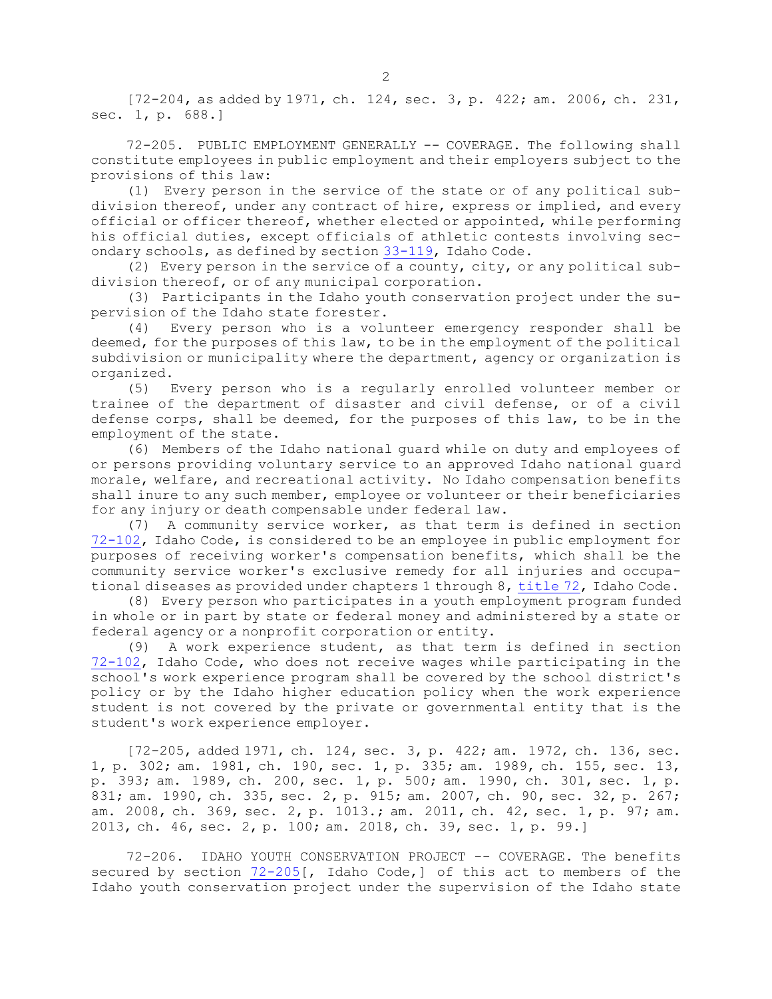[72-204, as added by 1971, ch. 124, sec. 3, p. 422; am. 2006, ch. 231, sec. 1, p. 688.]

72-205. PUBLIC EMPLOYMENT GENERALLY -- COVERAGE. The following shall constitute employees in public employment and their employers subject to the provisions of this law:

(1) Every person in the service of the state or of any political subdivision thereof, under any contract of hire, express or implied, and every official or officer thereof, whether elected or appointed, while performing his official duties, except officials of athletic contests involving secondary schools, as defined by section [33-119](https://legislature.idaho.gov/statutesrules/idstat/Title33/T33CH1/SECT33-119), Idaho Code.

(2) Every person in the service of <sup>a</sup> county, city, or any political subdivision thereof, or of any municipal corporation.

(3) Participants in the Idaho youth conservation project under the supervision of the Idaho state forester.

(4) Every person who is <sup>a</sup> volunteer emergency responder shall be deemed, for the purposes of this law, to be in the employment of the political subdivision or municipality where the department, agency or organization is organized.

(5) Every person who is <sup>a</sup> regularly enrolled volunteer member or trainee of the department of disaster and civil defense, or of <sup>a</sup> civil defense corps, shall be deemed, for the purposes of this law, to be in the employment of the state.

(6) Members of the Idaho national guard while on duty and employees of or persons providing voluntary service to an approved Idaho national guard morale, welfare, and recreational activity. No Idaho compensation benefits shall inure to any such member, employee or volunteer or their beneficiaries for any injury or death compensable under federal law.

(7) <sup>A</sup> community service worker, as that term is defined in section [72-102](https://legislature.idaho.gov/statutesrules/idstat/Title72/T72CH1/SECT72-102), Idaho Code, is considered to be an employee in public employment for purposes of receiving worker's compensation benefits, which shall be the community service worker's exclusive remedy for all injuries and occupational diseases as provided under chapters 1 through 8, [title](https://legislature.idaho.gov/statutesrules/idstat/Title72/) 72, Idaho Code.

(8) Every person who participates in <sup>a</sup> youth employment program funded in whole or in part by state or federal money and administered by <sup>a</sup> state or federal agency or <sup>a</sup> nonprofit corporation or entity.

(9) <sup>A</sup> work experience student, as that term is defined in section [72-102](https://legislature.idaho.gov/statutesrules/idstat/Title72/T72CH1/SECT72-102), Idaho Code, who does not receive wages while participating in the school's work experience program shall be covered by the school district's policy or by the Idaho higher education policy when the work experience student is not covered by the private or governmental entity that is the student's work experience employer.

[72-205, added 1971, ch. 124, sec. 3, p. 422; am. 1972, ch. 136, sec. 1, p. 302; am. 1981, ch. 190, sec. 1, p. 335; am. 1989, ch. 155, sec. 13, p. 393; am. 1989, ch. 200, sec. 1, p. 500; am. 1990, ch. 301, sec. 1, p. 831; am. 1990, ch. 335, sec. 2, p. 915; am. 2007, ch. 90, sec. 32, p. 267; am. 2008, ch. 369, sec. 2, p. 1013.; am. 2011, ch. 42, sec. 1, p. 97; am. 2013, ch. 46, sec. 2, p. 100; am. 2018, ch. 39, sec. 1, p. 99.]

72-206. IDAHO YOUTH CONSERVATION PROJECT -- COVERAGE. The benefits secured by section [72-205](https://legislature.idaho.gov/statutesrules/idstat/Title72/T72CH2/SECT72-205)[, Idaho Code,] of this act to members of the Idaho youth conservation project under the supervision of the Idaho state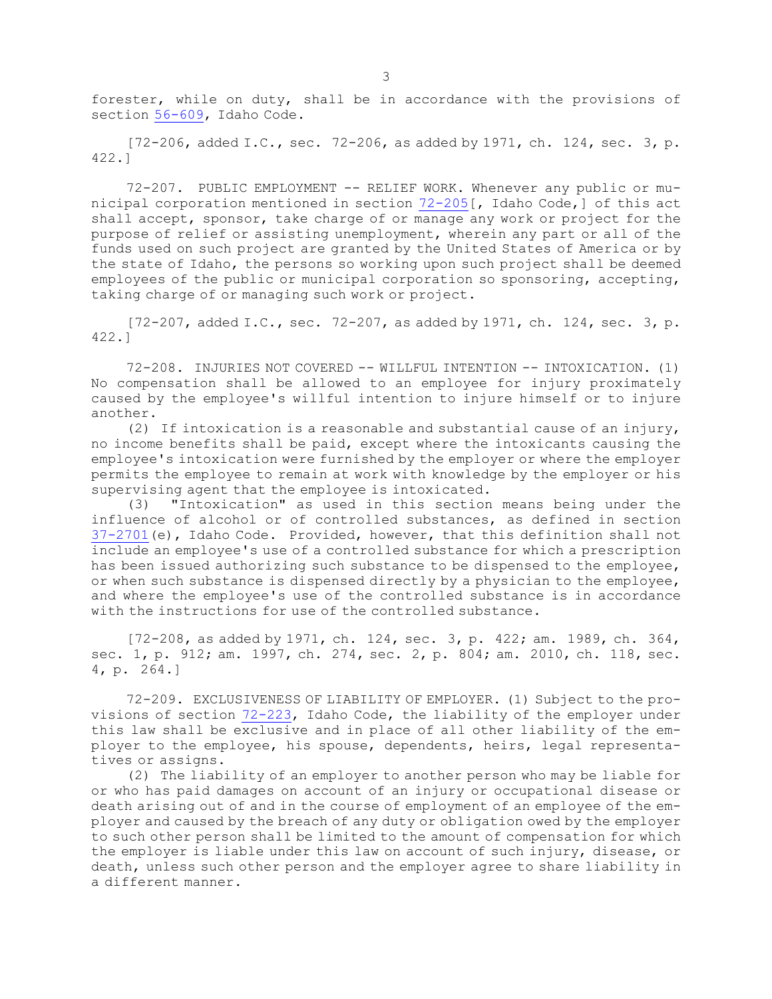forester, while on duty, shall be in accordance with the provisions of section [56-609](https://legislature.idaho.gov/statutesrules/idstat/Title56/T56CH6/SECT56-609), Idaho Code.

 $[72-206, \text{ added I.C., sec. } 72-206, \text{ as added by } 1971, \text{ ch. } 124, \text{ sec. } 3, \text{ p.}$ 422.]

72-207. PUBLIC EMPLOYMENT -- RELIEF WORK. Whenever any public or municipal corporation mentioned in section [72-205](https://legislature.idaho.gov/statutesrules/idstat/Title72/T72CH2/SECT72-205)[, Idaho Code,] of this act shall accept, sponsor, take charge of or manage any work or project for the purpose of relief or assisting unemployment, wherein any part or all of the funds used on such project are granted by the United States of America or by the state of Idaho, the persons so working upon such project shall be deemed employees of the public or municipal corporation so sponsoring, accepting, taking charge of or managing such work or project.

 $[72-207, \text{ added I.C., sec. } 72-207, \text{ as added by } 1971, \text{ ch. } 124, \text{ sec. } 3, \text{ p.}$ 422.]

72-208. INJURIES NOT COVERED -- WILLFUL INTENTION -- INTOXICATION. (1) No compensation shall be allowed to an employee for injury proximately caused by the employee's willful intention to injure himself or to injure another.

(2) If intoxication is <sup>a</sup> reasonable and substantial cause of an injury, no income benefits shall be paid, except where the intoxicants causing the employee's intoxication were furnished by the employer or where the employer permits the employee to remain at work with knowledge by the employer or his supervising agent that the employee is intoxicated.

(3) "Intoxication" as used in this section means being under the influence of alcohol or of controlled substances, as defined in section [37-2701](https://legislature.idaho.gov/statutesrules/idstat/Title37/T37CH27/SECT37-2701)(e), Idaho Code. Provided, however, that this definition shall not include an employee's use of <sup>a</sup> controlled substance for which <sup>a</sup> prescription has been issued authorizing such substance to be dispensed to the employee, or when such substance is dispensed directly by <sup>a</sup> physician to the employee, and where the employee's use of the controlled substance is in accordance with the instructions for use of the controlled substance.

[72-208, as added by 1971, ch. 124, sec. 3, p. 422; am. 1989, ch. 364, sec. 1, p. 912; am. 1997, ch. 274, sec. 2, p. 804; am. 2010, ch. 118, sec. 4, p. 264.]

72-209. EXCLUSIVENESS OF LIABILITY OF EMPLOYER. (1) Subject to the provisions of section [72-223](https://legislature.idaho.gov/statutesrules/idstat/Title72/T72CH2/SECT72-223), Idaho Code, the liability of the employer under this law shall be exclusive and in place of all other liability of the employer to the employee, his spouse, dependents, heirs, legal representatives or assigns.

(2) The liability of an employer to another person who may be liable for or who has paid damages on account of an injury or occupational disease or death arising out of and in the course of employment of an employee of the employer and caused by the breach of any duty or obligation owed by the employer to such other person shall be limited to the amount of compensation for which the employer is liable under this law on account of such injury, disease, or death, unless such other person and the employer agree to share liability in <sup>a</sup> different manner.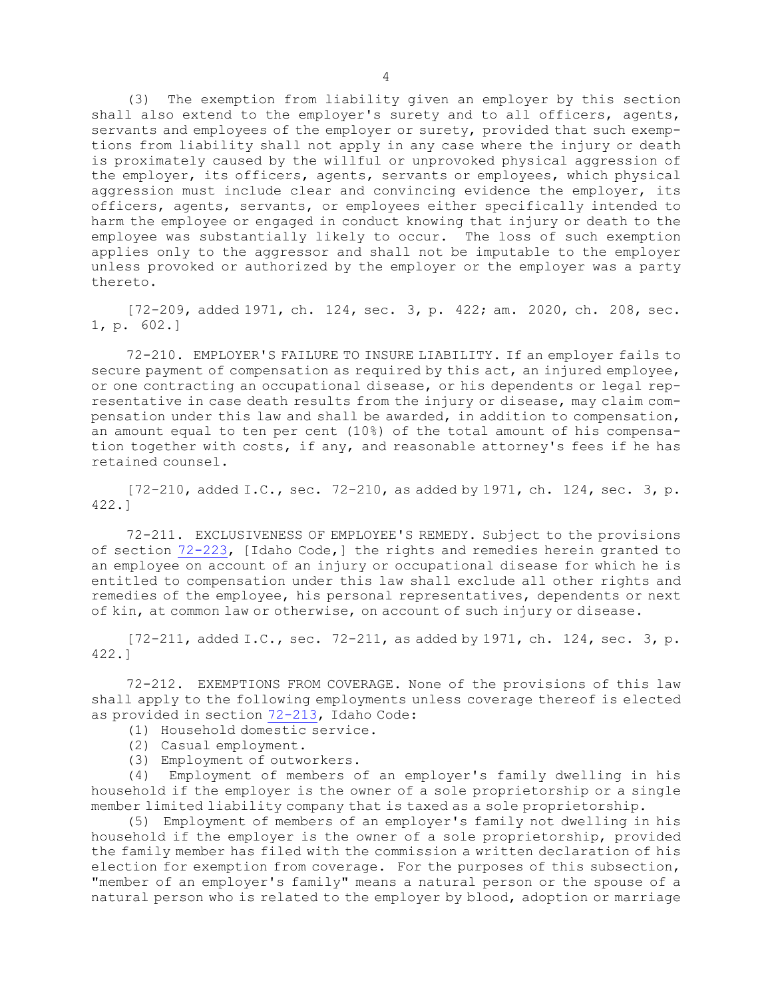(3) The exemption from liability given an employer by this section shall also extend to the employer's surety and to all officers, agents, servants and employees of the employer or surety, provided that such exemptions from liability shall not apply in any case where the injury or death is proximately caused by the willful or unprovoked physical aggression of the employer, its officers, agents, servants or employees, which physical aggression must include clear and convincing evidence the employer, its officers, agents, servants, or employees either specifically intended to harm the employee or engaged in conduct knowing that injury or death to the employee was substantially likely to occur. The loss of such exemption applies only to the aggressor and shall not be imputable to the employer unless provoked or authorized by the employer or the employer was <sup>a</sup> party thereto.

[72-209, added 1971, ch. 124, sec. 3, p. 422; am. 2020, ch. 208, sec. 1, p. 602.]

72-210. EMPLOYER'S FAILURE TO INSURE LIABILITY. If an employer fails to secure payment of compensation as required by this act, an injured employee, or one contracting an occupational disease, or his dependents or legal representative in case death results from the injury or disease, may claim compensation under this law and shall be awarded, in addition to compensation, an amount equal to ten per cent (10%) of the total amount of his compensation together with costs, if any, and reasonable attorney's fees if he has retained counsel.

 $[72-210,$  added I.C., sec.  $72-210$ , as added by 1971, ch. 124, sec. 3, p. 422.]

72-211. EXCLUSIVENESS OF EMPLOYEE'S REMEDY. Subject to the provisions of section [72-223](https://legislature.idaho.gov/statutesrules/idstat/Title72/T72CH2/SECT72-223), [Idaho Code,] the rights and remedies herein granted to an employee on account of an injury or occupational disease for which he is entitled to compensation under this law shall exclude all other rights and remedies of the employee, his personal representatives, dependents or next of kin, at common law or otherwise, on account of such injury or disease.

[72-211, added I.C., sec. 72-211, as added by 1971, ch. 124, sec. 3, p. 422.]

72-212. EXEMPTIONS FROM COVERAGE. None of the provisions of this law shall apply to the following employments unless coverage thereof is elected as provided in section [72-213](https://legislature.idaho.gov/statutesrules/idstat/Title72/T72CH2/SECT72-213), Idaho Code:

- (1) Household domestic service.
- (2) Casual employment.
- (3) Employment of outworkers.

(4) Employment of members of an employer's family dwelling in his household if the employer is the owner of <sup>a</sup> sole proprietorship or <sup>a</sup> single member limited liability company that is taxed as <sup>a</sup> sole proprietorship.

(5) Employment of members of an employer's family not dwelling in his household if the employer is the owner of <sup>a</sup> sole proprietorship, provided the family member has filed with the commission <sup>a</sup> written declaration of his election for exemption from coverage. For the purposes of this subsection, "member of an employer's family" means <sup>a</sup> natural person or the spouse of <sup>a</sup> natural person who is related to the employer by blood, adoption or marriage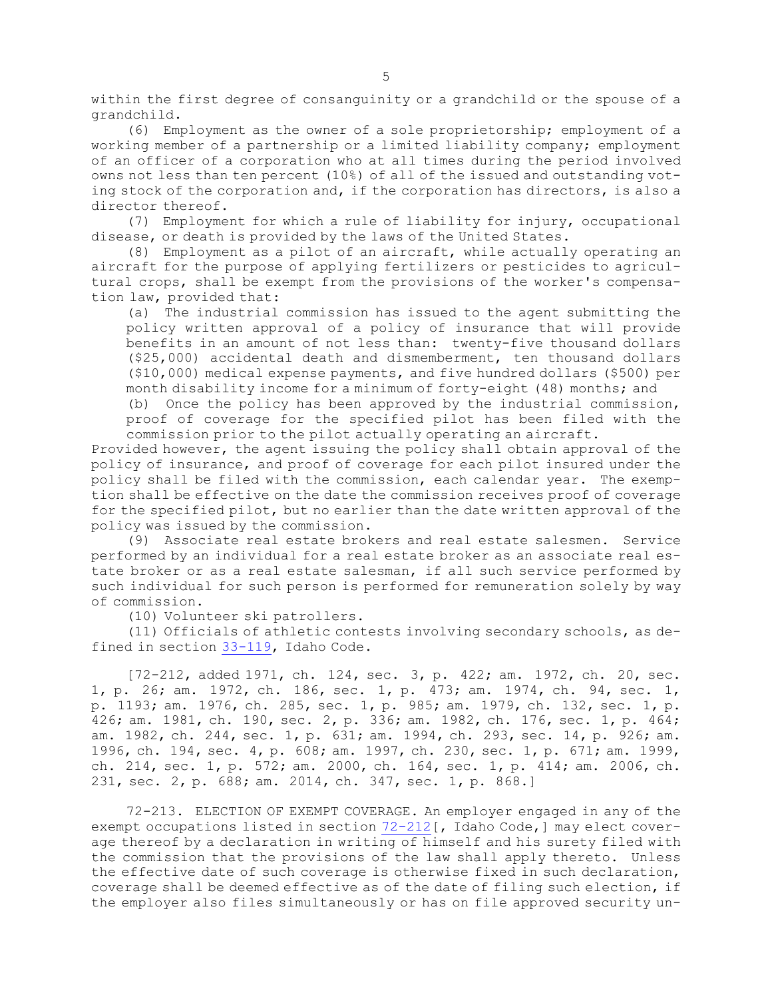within the first degree of consanguinity or <sup>a</sup> grandchild or the spouse of <sup>a</sup> grandchild.

(6) Employment as the owner of <sup>a</sup> sole proprietorship; employment of <sup>a</sup> working member of <sup>a</sup> partnership or <sup>a</sup> limited liability company; employment of an officer of <sup>a</sup> corporation who at all times during the period involved owns not less than ten percent (10%) of all of the issued and outstanding voting stock of the corporation and, if the corporation has directors, is also <sup>a</sup> director thereof.

(7) Employment for which <sup>a</sup> rule of liability for injury, occupational disease, or death is provided by the laws of the United States.

(8) Employment as <sup>a</sup> pilot of an aircraft, while actually operating an aircraft for the purpose of applying fertilizers or pesticides to agricultural crops, shall be exempt from the provisions of the worker's compensation law, provided that:

(a) The industrial commission has issued to the agent submitting the policy written approval of <sup>a</sup> policy of insurance that will provide benefits in an amount of not less than: twenty-five thousand dollars (\$25,000) accidental death and dismemberment, ten thousand dollars (\$10,000) medical expense payments, and five hundred dollars (\$500) per month disability income for <sup>a</sup> minimum of forty-eight (48) months; and

(b) Once the policy has been approved by the industrial commission, proof of coverage for the specified pilot has been filed with the commission prior to the pilot actually operating an aircraft.

Provided however, the agent issuing the policy shall obtain approval of the policy of insurance, and proof of coverage for each pilot insured under the policy shall be filed with the commission, each calendar year. The exemption shall be effective on the date the commission receives proof of coverage for the specified pilot, but no earlier than the date written approval of the policy was issued by the commission.

(9) Associate real estate brokers and real estate salesmen. Service performed by an individual for <sup>a</sup> real estate broker as an associate real estate broker or as <sup>a</sup> real estate salesman, if all such service performed by such individual for such person is performed for remuneration solely by way of commission.

(10) Volunteer ski patrollers.

(11) Officials of athletic contests involving secondary schools, as defined in section [33-119](https://legislature.idaho.gov/statutesrules/idstat/Title33/T33CH1/SECT33-119), Idaho Code.

[72-212, added 1971, ch. 124, sec. 3, p. 422; am. 1972, ch. 20, sec. 1, p. 26; am. 1972, ch. 186, sec. 1, p. 473; am. 1974, ch. 94, sec. 1, p. 1193; am. 1976, ch. 285, sec. 1, p. 985; am. 1979, ch. 132, sec. 1, p. 426; am. 1981, ch. 190, sec. 2, p. 336; am. 1982, ch. 176, sec. 1, p. 464; am. 1982, ch. 244, sec. 1, p. 631; am. 1994, ch. 293, sec. 14, p. 926; am. 1996, ch. 194, sec. 4, p. 608; am. 1997, ch. 230, sec. 1, p. 671; am. 1999, ch. 214, sec. 1, p. 572; am. 2000, ch. 164, sec. 1, p. 414; am. 2006, ch. 231, sec. 2, p. 688; am. 2014, ch. 347, sec. 1, p. 868.]

72-213. ELECTION OF EXEMPT COVERAGE. An employer engaged in any of the exempt occupations listed in section [72-212](https://legislature.idaho.gov/statutesrules/idstat/Title72/T72CH2/SECT72-212)[, Idaho Code,] may elect coverage thereof by <sup>a</sup> declaration in writing of himself and his surety filed with the commission that the provisions of the law shall apply thereto. Unless the effective date of such coverage is otherwise fixed in such declaration, coverage shall be deemed effective as of the date of filing such election, if the employer also files simultaneously or has on file approved security un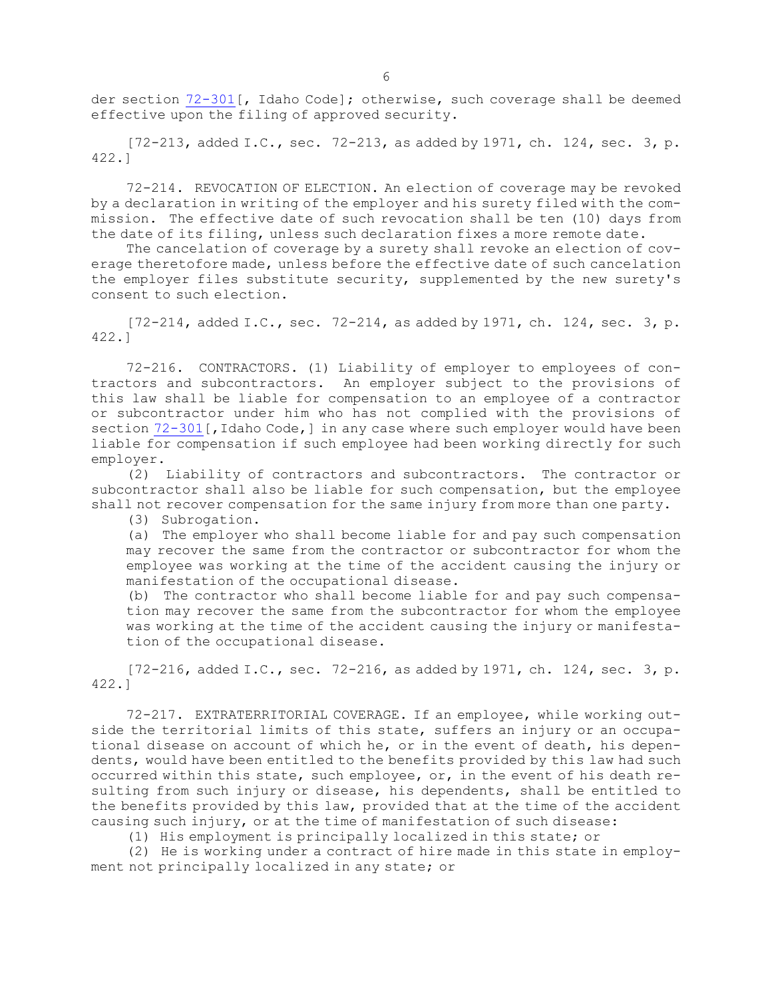der section [72-301](https://legislature.idaho.gov/statutesrules/idstat/Title72/T72CH3/SECT72-301)[, Idaho Code]; otherwise, such coverage shall be deemed effective upon the filing of approved security.

 $[72-213,$  added I.C., sec.  $72-213$ , as added by 1971, ch. 124, sec. 3, p. 422.]

72-214. REVOCATION OF ELECTION. An election of coverage may be revoked by <sup>a</sup> declaration in writing of the employer and his surety filed with the commission. The effective date of such revocation shall be ten (10) days from the date of its filing, unless such declaration fixes <sup>a</sup> more remote date.

The cancelation of coverage by <sup>a</sup> surety shall revoke an election of coverage theretofore made, unless before the effective date of such cancelation the employer files substitute security, supplemented by the new surety's consent to such election.

 $[72-214, \text{ added I.C., sec. } 72-214, \text{ as added by } 1971, \text{ ch. } 124, \text{ sec. } 3, \text{ p.}$ 422.]

72-216. CONTRACTORS. (1) Liability of employer to employees of contractors and subcontractors. An employer subject to the provisions of this law shall be liable for compensation to an employee of <sup>a</sup> contractor or subcontractor under him who has not complied with the provisions of section [72-301](https://legislature.idaho.gov/statutesrules/idstat/Title72/T72CH3/SECT72-301) [, Idaho Code, ] in any case where such employer would have been liable for compensation if such employee had been working directly for such employer.

(2) Liability of contractors and subcontractors. The contractor or subcontractor shall also be liable for such compensation, but the employee shall not recover compensation for the same injury from more than one party.

(3) Subrogation.

(a) The employer who shall become liable for and pay such compensation may recover the same from the contractor or subcontractor for whom the employee was working at the time of the accident causing the injury or manifestation of the occupational disease.

(b) The contractor who shall become liable for and pay such compensation may recover the same from the subcontractor for whom the employee was working at the time of the accident causing the injury or manifestation of the occupational disease.

 $[72-216, \text{ added I.C.}, \text{sec. } 72-216, \text{ as added by } 1971, \text{ ch. } 124, \text{ sec. } 3, \text{ p.}$ 422.]

72-217. EXTRATERRITORIAL COVERAGE. If an employee, while working outside the territorial limits of this state, suffers an injury or an occupational disease on account of which he, or in the event of death, his dependents, would have been entitled to the benefits provided by this law had such occurred within this state, such employee, or, in the event of his death resulting from such injury or disease, his dependents, shall be entitled to the benefits provided by this law, provided that at the time of the accident causing such injury, or at the time of manifestation of such disease:

(1) His employment is principally localized in this state; or

(2) He is working under <sup>a</sup> contract of hire made in this state in employment not principally localized in any state; or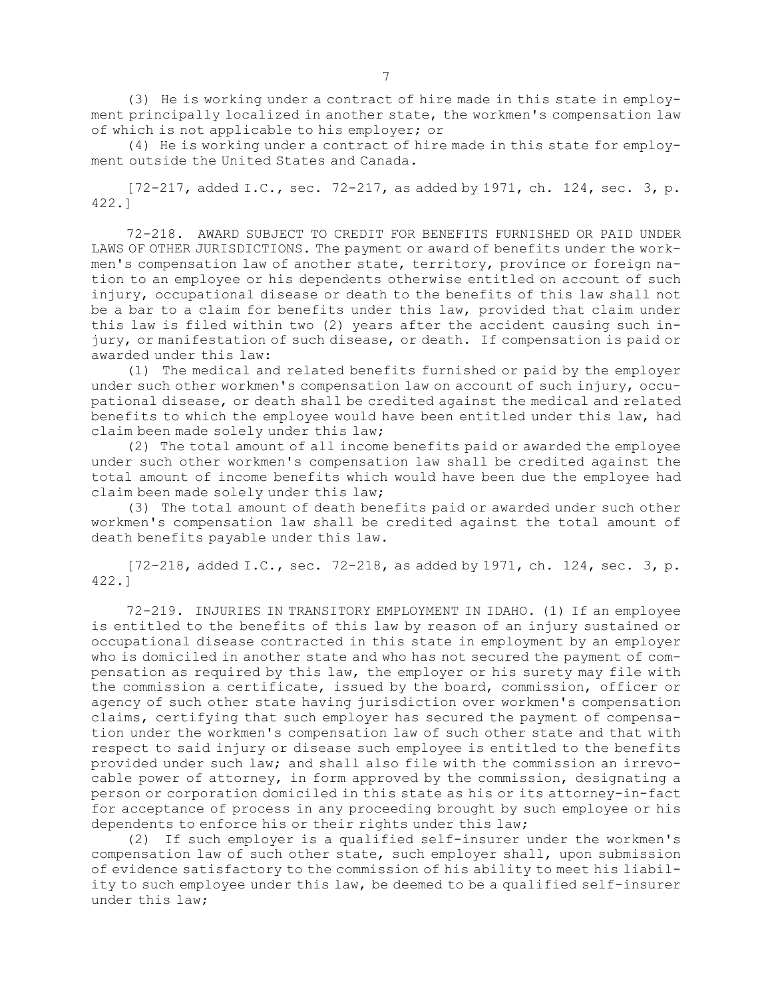(3) He is working under <sup>a</sup> contract of hire made in this state in employment principally localized in another state, the workmen's compensation law of which is not applicable to his employer; or

(4) He is working under <sup>a</sup> contract of hire made in this state for employment outside the United States and Canada.

[72-217, added I.C., sec. 72-217, as added by 1971, ch. 124, sec. 3, p. 422.]

72-218. AWARD SUBJECT TO CREDIT FOR BENEFITS FURNISHED OR PAID UNDER LAWS OF OTHER JURISDICTIONS. The payment or award of benefits under the workmen's compensation law of another state, territory, province or foreign nation to an employee or his dependents otherwise entitled on account of such injury, occupational disease or death to the benefits of this law shall not be <sup>a</sup> bar to <sup>a</sup> claim for benefits under this law, provided that claim under this law is filed within two (2) years after the accident causing such injury, or manifestation of such disease, or death. If compensation is paid or awarded under this law:

(1) The medical and related benefits furnished or paid by the employer under such other workmen's compensation law on account of such injury, occupational disease, or death shall be credited against the medical and related benefits to which the employee would have been entitled under this law, had claim been made solely under this law;

(2) The total amount of all income benefits paid or awarded the employee under such other workmen's compensation law shall be credited against the total amount of income benefits which would have been due the employee had claim been made solely under this law;

(3) The total amount of death benefits paid or awarded under such other workmen's compensation law shall be credited against the total amount of death benefits payable under this law.

[72-218, added I.C., sec. 72-218, as added by 1971, ch. 124, sec. 3, p. 422.]

72-219. INJURIES IN TRANSITORY EMPLOYMENT IN IDAHO. (1) If an employee is entitled to the benefits of this law by reason of an injury sustained or occupational disease contracted in this state in employment by an employer who is domiciled in another state and who has not secured the payment of compensation as required by this law, the employer or his surety may file with the commission <sup>a</sup> certificate, issued by the board, commission, officer or agency of such other state having jurisdiction over workmen's compensation claims, certifying that such employer has secured the payment of compensation under the workmen's compensation law of such other state and that with respect to said injury or disease such employee is entitled to the benefits provided under such law; and shall also file with the commission an irrevocable power of attorney, in form approved by the commission, designating <sup>a</sup> person or corporation domiciled in this state as his or its attorney-in-fact for acceptance of process in any proceeding brought by such employee or his dependents to enforce his or their rights under this law;

(2) If such employer is <sup>a</sup> qualified self-insurer under the workmen's compensation law of such other state, such employer shall, upon submission of evidence satisfactory to the commission of his ability to meet his liability to such employee under this law, be deemed to be <sup>a</sup> qualified self-insurer under this law;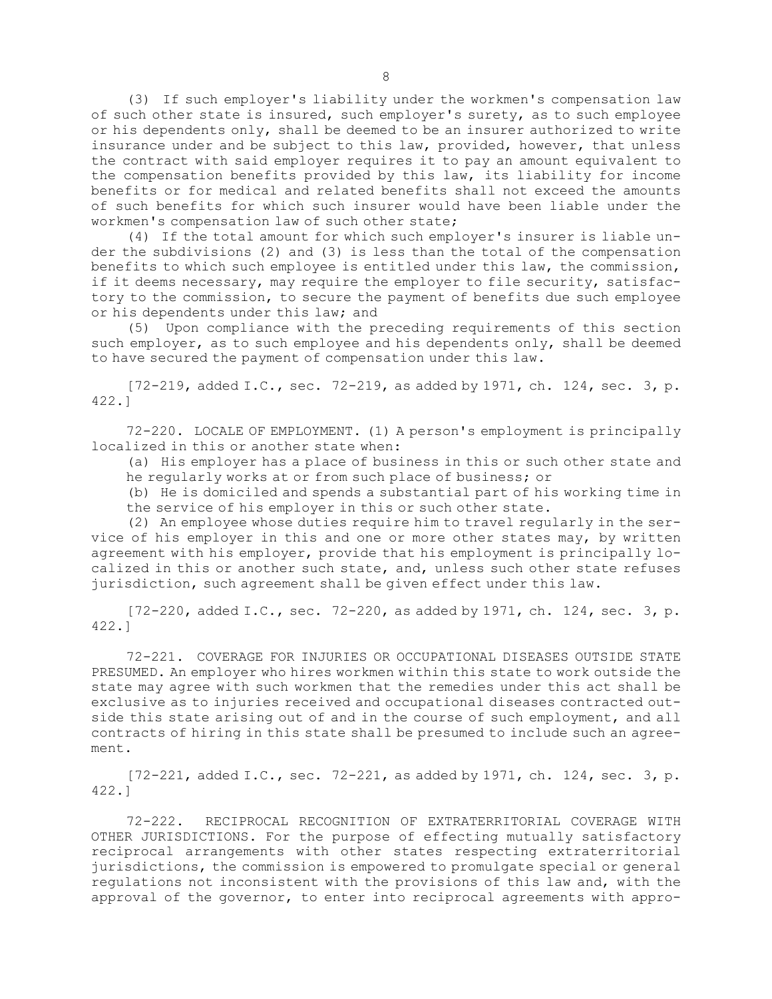(3) If such employer's liability under the workmen's compensation law of such other state is insured, such employer's surety, as to such employee or his dependents only, shall be deemed to be an insurer authorized to write insurance under and be subject to this law, provided, however, that unless the contract with said employer requires it to pay an amount equivalent to the compensation benefits provided by this law, its liability for income benefits or for medical and related benefits shall not exceed the amounts of such benefits for which such insurer would have been liable under the workmen's compensation law of such other state;

(4) If the total amount for which such employer's insurer is liable under the subdivisions (2) and (3) is less than the total of the compensation benefits to which such employee is entitled under this law, the commission, if it deems necessary, may require the employer to file security, satisfactory to the commission, to secure the payment of benefits due such employee or his dependents under this law; and

(5) Upon compliance with the preceding requirements of this section such employer, as to such employee and his dependents only, shall be deemed to have secured the payment of compensation under this law.

[72-219, added I.C., sec. 72-219, as added by 1971, ch. 124, sec. 3, p. 422.]

72-220. LOCALE OF EMPLOYMENT. (1) <sup>A</sup> person's employment is principally localized in this or another state when:

(a) His employer has <sup>a</sup> place of business in this or such other state and he regularly works at or from such place of business; or

(b) He is domiciled and spends <sup>a</sup> substantial part of his working time in the service of his employer in this or such other state.

(2) An employee whose duties require him to travel regularly in the service of his employer in this and one or more other states may, by written agreement with his employer, provide that his employment is principally localized in this or another such state, and, unless such other state refuses jurisdiction, such agreement shall be given effect under this law.

 $[72-220, \text{ added I.C., sec. } 72-220, \text{ as added by } 1971, \text{ ch. } 124, \text{ sec. } 3, \text{ p.}$ 422.]

72-221. COVERAGE FOR INJURIES OR OCCUPATIONAL DISEASES OUTSIDE STATE PRESUMED. An employer who hires workmen within this state to work outside the state may agree with such workmen that the remedies under this act shall be exclusive as to injuries received and occupational diseases contracted outside this state arising out of and in the course of such employment, and all contracts of hiring in this state shall be presumed to include such an agreement.

 $[72-221, \text{ added I.C., sec. } 72-221, \text{ as added by } 1971, \text{ ch. } 124, \text{ sec. } 3, \text{ p.}$ 422.]

72-222. RECIPROCAL RECOGNITION OF EXTRATERRITORIAL COVERAGE WITH OTHER JURISDICTIONS. For the purpose of effecting mutually satisfactory reciprocal arrangements with other states respecting extraterritorial jurisdictions, the commission is empowered to promulgate special or general regulations not inconsistent with the provisions of this law and, with the approval of the governor, to enter into reciprocal agreements with appro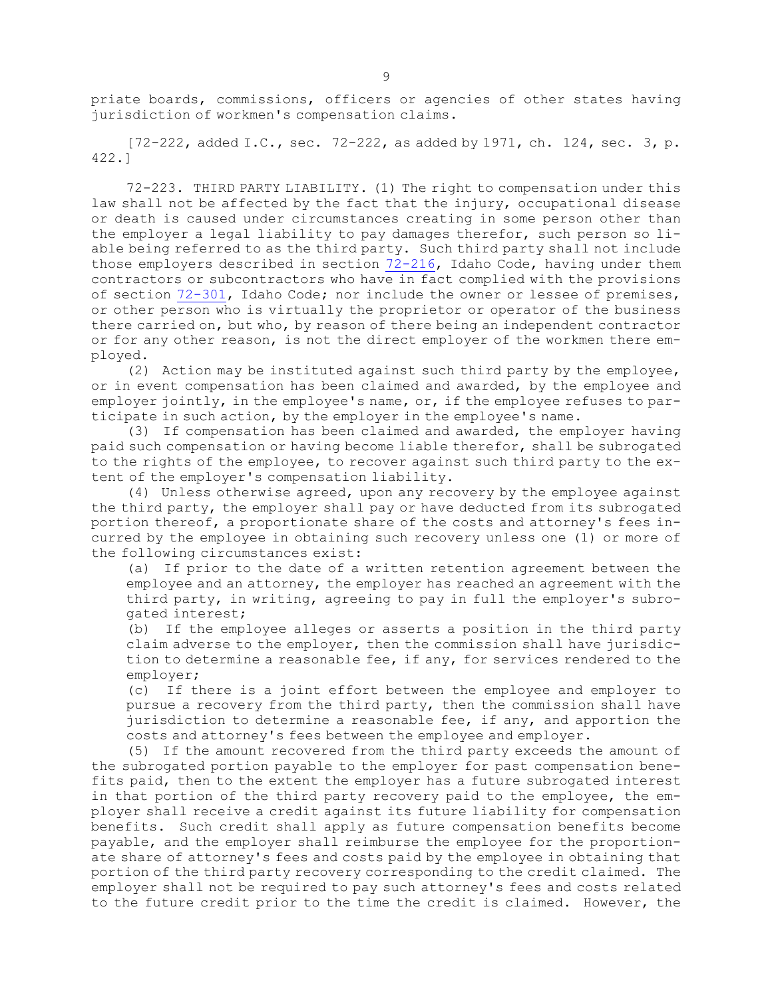priate boards, commissions, officers or agencies of other states having jurisdiction of workmen's compensation claims.

 $[72-222,$  added I.C., sec.  $72-222$ , as added by 1971, ch. 124, sec. 3, p. 422.]

72-223. THIRD PARTY LIABILITY. (1) The right to compensation under this law shall not be affected by the fact that the injury, occupational disease or death is caused under circumstances creating in some person other than the employer <sup>a</sup> legal liability to pay damages therefor, such person so liable being referred to as the third party. Such third party shall not include those employers described in section [72-216](https://legislature.idaho.gov/statutesrules/idstat/Title72/T72CH2/SECT72-216), Idaho Code, having under them contractors or subcontractors who have in fact complied with the provisions of section [72-301](https://legislature.idaho.gov/statutesrules/idstat/Title72/T72CH3/SECT72-301), Idaho Code; nor include the owner or lessee of premises, or other person who is virtually the proprietor or operator of the business there carried on, but who, by reason of there being an independent contractor or for any other reason, is not the direct employer of the workmen there employed.

(2) Action may be instituted against such third party by the employee, or in event compensation has been claimed and awarded, by the employee and employer jointly, in the employee's name, or, if the employee refuses to participate in such action, by the employer in the employee's name.

(3) If compensation has been claimed and awarded, the employer having paid such compensation or having become liable therefor, shall be subrogated to the rights of the employee, to recover against such third party to the extent of the employer's compensation liability.

(4) Unless otherwise agreed, upon any recovery by the employee against the third party, the employer shall pay or have deducted from its subrogated portion thereof, <sup>a</sup> proportionate share of the costs and attorney's fees incurred by the employee in obtaining such recovery unless one (1) or more of the following circumstances exist:

(a) If prior to the date of <sup>a</sup> written retention agreement between the employee and an attorney, the employer has reached an agreement with the third party, in writing, agreeing to pay in full the employer's subrogated interest;

(b) If the employee alleges or asserts <sup>a</sup> position in the third party claim adverse to the employer, then the commission shall have jurisdiction to determine <sup>a</sup> reasonable fee, if any, for services rendered to the employer;

(c) If there is <sup>a</sup> joint effort between the employee and employer to pursue <sup>a</sup> recovery from the third party, then the commission shall have jurisdiction to determine <sup>a</sup> reasonable fee, if any, and apportion the costs and attorney's fees between the employee and employer.

(5) If the amount recovered from the third party exceeds the amount of the subrogated portion payable to the employer for past compensation benefits paid, then to the extent the employer has <sup>a</sup> future subrogated interest in that portion of the third party recovery paid to the employee, the employer shall receive <sup>a</sup> credit against its future liability for compensation benefits. Such credit shall apply as future compensation benefits become payable, and the employer shall reimburse the employee for the proportionate share of attorney's fees and costs paid by the employee in obtaining that portion of the third party recovery corresponding to the credit claimed. The employer shall not be required to pay such attorney's fees and costs related to the future credit prior to the time the credit is claimed. However, the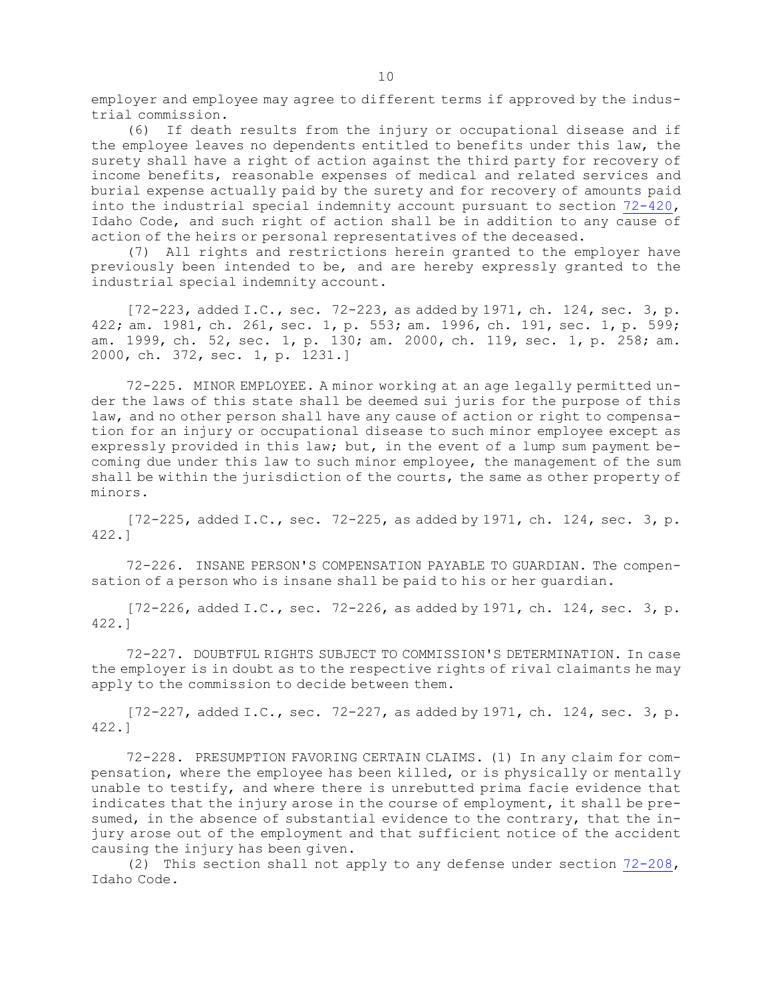employer and employee may agree to different terms if approved by the industrial commission.

(6) If death results from the injury or occupational disease and if the employee leaves no dependents entitled to benefits under this law, the surety shall have <sup>a</sup> right of action against the third party for recovery of income benefits, reasonable expenses of medical and related services and burial expense actually paid by the surety and for recovery of amounts paid into the industrial special indemnity account pursuant to section [72-420](https://legislature.idaho.gov/statutesrules/idstat/Title72/T72CH4/SECT72-420), Idaho Code, and such right of action shall be in addition to any cause of action of the heirs or personal representatives of the deceased.

(7) All rights and restrictions herein granted to the employer have previously been intended to be, and are hereby expressly granted to the industrial special indemnity account.

 $[72-223, \text{ added I.C., sec. } 72-223, \text{ as added by } 1971, \text{ ch. } 124, \text{ sec. } 3, \text{ p.}$ 422; am. 1981, ch. 261, sec. 1, p. 553; am. 1996, ch. 191, sec. 1, p. 599; am. 1999, ch. 52, sec. 1, p. 130; am. 2000, ch. 119, sec. 1, p. 258; am. 2000, ch. 372, sec. 1, p. 1231.]

72-225. MINOR EMPLOYEE. <sup>A</sup> minor working at an age legally permitted under the laws of this state shall be deemed sui juris for the purpose of this law, and no other person shall have any cause of action or right to compensation for an injury or occupational disease to such minor employee except as expressly provided in this law; but, in the event of <sup>a</sup> lump sum payment becoming due under this law to such minor employee, the management of the sum shall be within the jurisdiction of the courts, the same as other property of minors.

[72-225, added I.C., sec. 72-225, as added by 1971, ch. 124, sec. 3, p. 422.]

72-226. INSANE PERSON'S COMPENSATION PAYABLE TO GUARDIAN. The compensation of <sup>a</sup> person who is insane shall be paid to his or her guardian.

 $[72-226, \text{ added I.C., sec. } 72-226, \text{ as added by } 1971, \text{ ch. } 124, \text{ sec. } 3, \text{ p.}$ 422.]

72-227. DOUBTFUL RIGHTS SUBJECT TO COMMISSION'S DETERMINATION. In case the employer is in doubt as to the respective rights of rival claimants he may apply to the commission to decide between them.

 $[72-227, \text{ added I.C., sec. } 72-227, \text{ as added by } 1971, \text{ ch. } 124, \text{ sec. } 3, \text{ p.}$ 422.]

72-228. PRESUMPTION FAVORING CERTAIN CLAIMS. (1) In any claim for compensation, where the employee has been killed, or is physically or mentally unable to testify, and where there is unrebutted prima facie evidence that indicates that the injury arose in the course of employment, it shall be presumed, in the absence of substantial evidence to the contrary, that the injury arose out of the employment and that sufficient notice of the accident causing the injury has been given.

(2) This section shall not apply to any defense under section [72-208](https://legislature.idaho.gov/statutesrules/idstat/Title72/T72CH2/SECT72-208), Idaho Code.